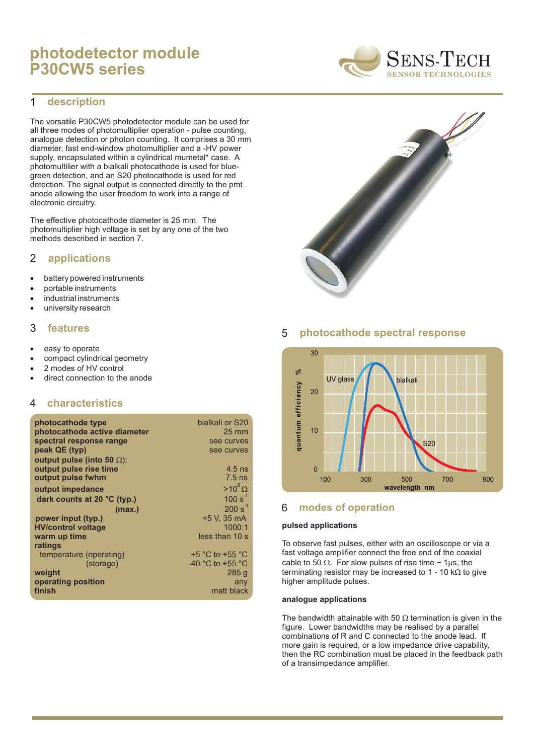# **photodetector module P30CW5 series**

#### **description** 1

The versatile P30CW5 photodetector module can be used for all three modes of photomultiplier operation - pulse counting, analogue detection or photon counting. It comprises a 30 mm diameter, fast end-window photomultiplier and a -HV power supply, encapsulated within a cylindrical mumetal\* case. A photomultilier with a bialkali photocathode is used for bluegreen detection, and an S20 photocathode is used for red detection. The signal output is connected directly to the pmt anode allowing the user freedom to work into a range of electronic circuitry.

The effective photocathode diameter is 25 mm. The photomultiplier high voltage is set by any one of the two methods described in section 7.

#### **applications** 2

battery powered instruments portable instruments industrial instruments university research

#### 3 **features**

easy to operate compact cylindrical geometry 2 modes of HV control direct connection to the anode

#### 4 **characteristics**

| photocathode type<br>photocathode active diameter | bialkali or S20<br>$25 \text{ mm}$   |
|---------------------------------------------------|--------------------------------------|
| spectral response range                           | see curves                           |
| peak QE (typ)                                     | see curves                           |
| output pulse (into 50 ):                          |                                      |
| output pulse rise time                            | $4.5$ ns                             |
| output pulse fwhm                                 | $7.5$ ns                             |
| output impedance                                  | $>10^8$                              |
| dark counts at 20 °C (typ.)                       | $100 s^{-1}$                         |
| (max.)                                            | $200 s^{-1}$                         |
| power input (typ.)                                | +5 V. 35 mA                          |
| <b>HV/control voltage</b>                         | 1000:1                               |
| warm up time                                      | less than 10 s                       |
| ratings                                           |                                      |
| temperature (operating)                           | $+5$ °C to $+55$ °C                  |
| (storage)                                         | -40 $^{\circ}$ C to +55 $^{\circ}$ C |
| weight                                            | 285q                                 |
| operating position                                | any                                  |
| finish                                            | matt black                           |

## 5 **photocathode spectral response**



## 6 **modes of operation**

#### **pulsed applications**

To observe fast pulses, either with an oscilloscope or via a fast voltage amplifier connect the free end of the coaxial cable to 50  $\;\;$ . For slow pulses of rise time  $\sim$  1µs, the terminating resistor may be increased to 1 - 10 k to give higher amplitude pulses.

#### **analogue applications**

The bandwidth attainable with 50 termination is given in the figure. Lower bandwidths may be realised by a parallel combinations of R and C connected to the anode lead. If more gain is required, or a low impedance drive capability, then the RC combination must be placed in the feedback path of a transimpedance amplifier.